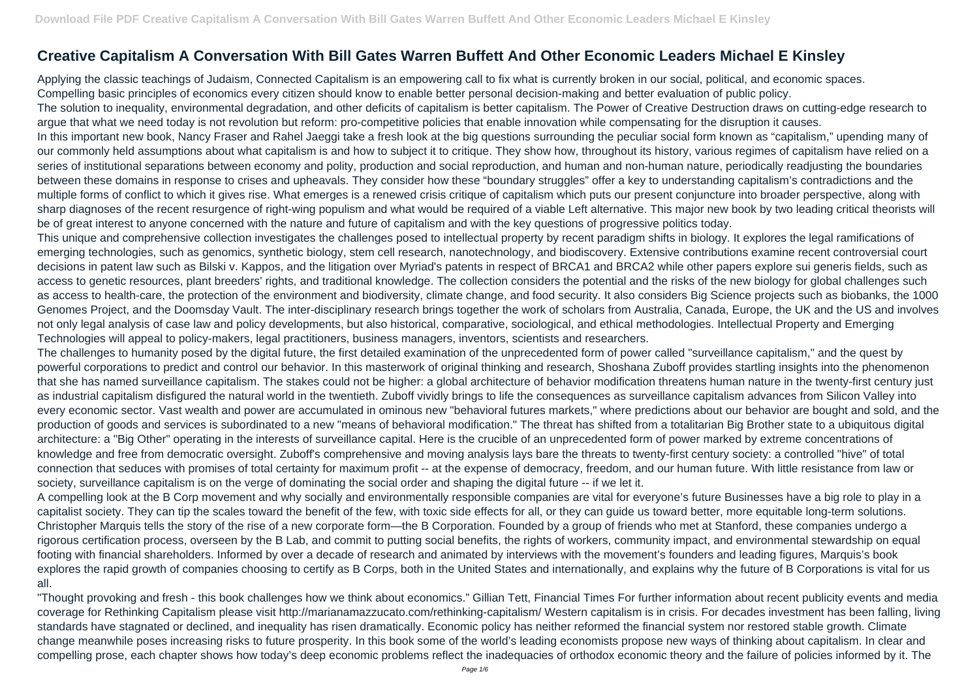## **Creative Capitalism A Conversation With Bill Gates Warren Buffett And Other Economic Leaders Michael E Kinsley**

Applying the classic teachings of Judaism, Connected Capitalism is an empowering call to fix what is currently broken in our social, political, and economic spaces. Compelling basic principles of economics every citizen should know to enable better personal decision-making and better evaluation of public policy. The solution to inequality, environmental degradation, and other deficits of capitalism is better capitalism. The Power of Creative Destruction draws on cutting-edge research to argue that what we need today is not revolution but reform: pro-competitive policies that enable innovation while compensating for the disruption it causes. In this important new book, Nancy Fraser and Rahel Jaeggi take a fresh look at the big questions surrounding the peculiar social form known as "capitalism," upending many of our commonly held assumptions about what capitalism is and how to subject it to critique. They show how, throughout its history, various regimes of capitalism have relied on a series of institutional separations between economy and polity, production and social reproduction, and human and non-human nature, periodically readjusting the boundaries between these domains in response to crises and upheavals. They consider how these "boundary struggles" offer a key to understanding capitalism's contradictions and the multiple forms of conflict to which it gives rise. What emerges is a renewed crisis critique of capitalism which puts our present conjuncture into broader perspective, along with sharp diagnoses of the recent resurgence of right-wing populism and what would be required of a viable Left alternative. This major new book by two leading critical theorists will be of great interest to anyone concerned with the nature and future of capitalism and with the key questions of progressive politics today. This unique and comprehensive collection investigates the challenges posed to intellectual property by recent paradigm shifts in biology. It explores the legal ramifications of emerging technologies, such as genomics, synthetic biology, stem cell research, nanotechnology, and biodiscovery. Extensive contributions examine recent controversial court decisions in patent law such as Bilski v. Kappos, and the litigation over Myriad's patents in respect of BRCA1 and BRCA2 while other papers explore sui generis fields, such as access to genetic resources, plant breeders' rights, and traditional knowledge. The collection considers the potential and the risks of the new biology for global challenges such as access to health-care, the protection of the environment and biodiversity, climate change, and food security. It also considers Big Science projects such as biobanks, the 1000 Genomes Project, and the Doomsday Vault. The inter-disciplinary research brings together the work of scholars from Australia, Canada, Europe, the UK and the US and involves not only legal analysis of case law and policy developments, but also historical, comparative, sociological, and ethical methodologies. Intellectual Property and Emerging Technologies will appeal to policy-makers, legal practitioners, business managers, inventors, scientists and researchers.

The challenges to humanity posed by the digital future, the first detailed examination of the unprecedented form of power called "surveillance capitalism," and the quest by powerful corporations to predict and control our behavior. In this masterwork of original thinking and research, Shoshana Zuboff provides startling insights into the phenomenon that she has named surveillance capitalism. The stakes could not be higher: a global architecture of behavior modification threatens human nature in the twenty-first century just as industrial capitalism disfigured the natural world in the twentieth. Zuboff vividly brings to life the consequences as surveillance capitalism advances from Silicon Valley into every economic sector. Vast wealth and power are accumulated in ominous new "behavioral futures markets," where predictions about our behavior are bought and sold, and the production of goods and services is subordinated to a new "means of behavioral modification." The threat has shifted from a totalitarian Big Brother state to a ubiquitous digital architecture: a "Big Other" operating in the interests of surveillance capital. Here is the crucible of an unprecedented form of power marked by extreme concentrations of knowledge and free from democratic oversight. Zuboff's comprehensive and moving analysis lays bare the threats to twenty-first century society: a controlled "hive" of total connection that seduces with promises of total certainty for maximum profit -- at the expense of democracy, freedom, and our human future. With little resistance from law or society, surveillance capitalism is on the verge of dominating the social order and shaping the digital future -- if we let it.

A compelling look at the B Corp movement and why socially and environmentally responsible companies are vital for everyone's future Businesses have a big role to play in a capitalist society. They can tip the scales toward the benefit of the few, with toxic side effects for all, or they can guide us toward better, more equitable long-term solutions. Christopher Marquis tells the story of the rise of a new corporate form—the B Corporation. Founded by a group of friends who met at Stanford, these companies undergo a rigorous certification process, overseen by the B Lab, and commit to putting social benefits, the rights of workers, community impact, and environmental stewardship on equal footing with financial shareholders. Informed by over a decade of research and animated by interviews with the movement's founders and leading figures, Marquis's book explores the rapid growth of companies choosing to certify as B Corps, both in the United States and internationally, and explains why the future of B Corporations is vital for us all.

"Thought provoking and fresh - this book challenges how we think about economics." Gillian Tett, Financial Times For further information about recent publicity events and media coverage for Rethinking Capitalism please visit http://marianamazzucato.com/rethinking-capitalism/ Western capitalism is in crisis. For decades investment has been falling, living standards have stagnated or declined, and inequality has risen dramatically. Economic policy has neither reformed the financial system nor restored stable growth. Climate change meanwhile poses increasing risks to future prosperity. In this book some of the world's leading economists propose new ways of thinking about capitalism. In clear and compelling prose, each chapter shows how today's deep economic problems reflect the inadequacies of orthodox economic theory and the failure of policies informed by it. The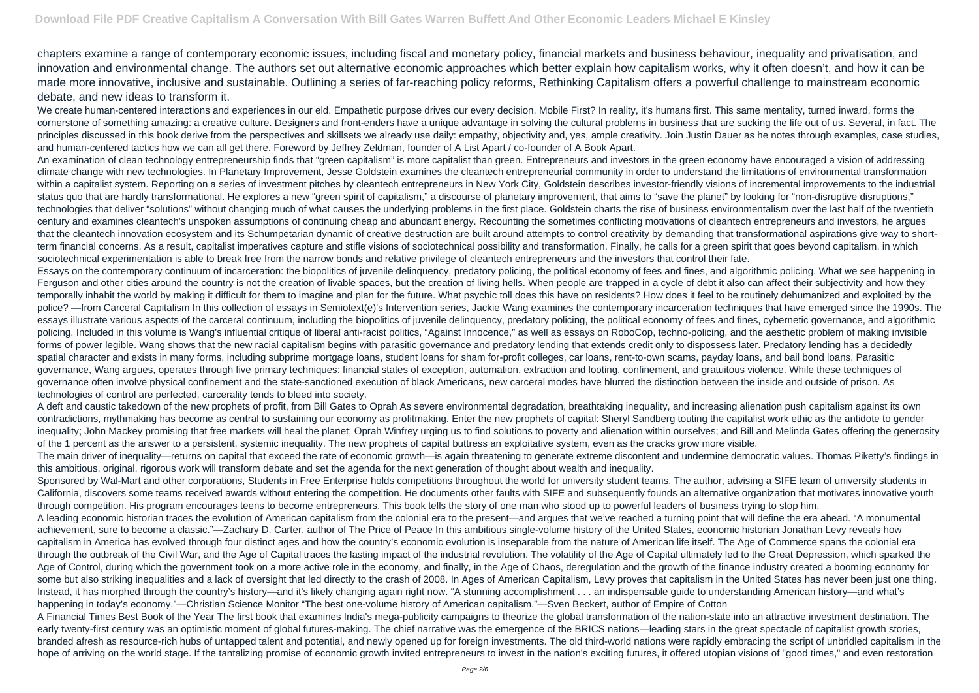chapters examine a range of contemporary economic issues, including fiscal and monetary policy, financial markets and business behaviour, inequality and privatisation, and innovation and environmental change. The authors set out alternative economic approaches which better explain how capitalism works, why it often doesn't, and how it can be made more innovative, inclusive and sustainable. Outlining a series of far-reaching policy reforms, Rethinking Capitalism offers a powerful challenge to mainstream economic debate, and new ideas to transform it.

We create human-centered interactions and experiences in our eld. Empathetic purpose drives our every decision. Mobile First? In reality, it's humans first. This same mentality, turned inward, forms the cornerstone of something amazing: a creative culture. Designers and front-enders have a unique advantage in solving the cultural problems in business that are sucking the life out of us. Several, in fact. The principles discussed in this book derive from the perspectives and skillsets we already use daily: empathy, objectivity and, yes, ample creativity. Join Justin Dauer as he notes through examples, case studies, and human-centered tactics how we can all get there. Foreword by Jeffrey Zeldman, founder of A List Apart / co-founder of A Book Apart.

An examination of clean technology entrepreneurship finds that "green capitalism" is more capitalist than green. Entrepreneurs and investors in the green economy have encouraged a vision of addressing climate change with new technologies. In Planetary Improvement, Jesse Goldstein examines the cleantech entrepreneurial community in order to understand the limitations of environmental transformation within a capitalist system. Reporting on a series of investment pitches by cleantech entrepreneurs in New York City, Goldstein describes investor-friendly visions of incremental improvements to the industrial status quo that are hardly transformational. He explores a new "green spirit of capitalism," a discourse of planetary improvement, that aims to "save the planet" by looking for "non-disruptive disruptions," technologies that deliver "solutions" without changing much of what causes the underlying problems in the first place. Goldstein charts the rise of business environmentalism over the last half of the twentieth century and examines cleantech's unspoken assumptions of continuing cheap and abundant energy. Recounting the sometimes conflicting motivations of cleantech entrepreneurs and investors, he argues that the cleantech innovation ecosystem and its Schumpetarian dynamic of creative destruction are built around attempts to control creativity by demanding that transformational aspirations give way to shortterm financial concerns. As a result, capitalist imperatives capture and stifle visions of sociotechnical possibility and transformation. Finally, he calls for a green spirit that goes beyond capitalism, in which sociotechnical experimentation is able to break free from the narrow bonds and relative privilege of cleantech entrepreneurs and the investors that control their fate. Essays on the contemporary continuum of incarceration: the biopolitics of juvenile delinquency, predatory policing, the political economy of fees and fines, and algorithmic policing. What we see happening in Ferguson and other cities around the country is not the creation of livable spaces, but the creation of living hells. When people are trapped in a cycle of debt it also can affect their subjectivity and how they temporally inhabit the world by making it difficult for them to imagine and plan for the future. What psychic toll does this have on residents? How does it feel to be routinely dehumanized and exploited by the police? —from Carceral Capitalism In this collection of essays in Semiotext(e)'s Intervention series, Jackie Wang examines the contemporary incarceration techniques that have emerged since the 1990s. The essays illustrate various aspects of the carceral continuum, including the biopolitics of juvenile delinquency, predatory policing, the political economy of fees and fines, cybernetic governance, and algorithmic policing. Included in this volume is Wang's influential critique of liberal anti-racist politics, "Against Innocence," as well as essays on RoboCop, techno-policing, and the aesthetic problem of making invisible forms of power legible. Wang shows that the new racial capitalism begins with parasitic governance and predatory lending that extends credit only to dispossess later. Predatory lending has a decidedly spatial character and exists in many forms, including subprime mortgage loans, student loans for sham for-profit colleges, car loans, rent-to-own scams, payday loans, and bail bond loans. Parasitic governance, Wang argues, operates through five primary techniques: financial states of exception, automation, extraction and looting, confinement, and gratuitous violence. While these techniques of governance often involve physical confinement and the state-sanctioned execution of black Americans, new carceral modes have blurred the distinction between the inside and outside of prison. As technologies of control are perfected, carcerality tends to bleed into society.

Sponsored by Wal-Mart and other corporations, Students in Free Enterprise holds competitions throughout the world for university student teams. The author, advising a SIFE team of university students in California, discovers some teams received awards without entering the competition. He documents other faults with SIFE and subsequently founds an alternative organization that motivates innovative youth through competition. His program encourages teens to become entrepreneurs. This book tells the story of one man who stood up to powerful leaders of business trying to stop him. A leading economic historian traces the evolution of American capitalism from the colonial era to the present—and argues that we've reached a turning point that will define the era ahead. "A monumental achievement, sure to become a classic."—Zachary D. Carter, author of The Price of Peace In this ambitious single-volume history of the United States, economic historian Jonathan Levy reveals how capitalism in America has evolved through four distinct ages and how the country's economic evolution is inseparable from the nature of American life itself. The Age of Commerce spans the colonial era through the outbreak of the Civil War, and the Age of Capital traces the lasting impact of the industrial revolution. The volatility of the Age of Capital ultimately led to the Great Depression, which sparked the Age of Control, during which the government took on a more active role in the economy, and finally, in the Age of Chaos, deregulation and the growth of the finance industry created a booming economy for some but also striking inequalities and a lack of oversight that led directly to the crash of 2008. In Ages of American Capitalism, Levy proves that capitalism in the United States has never been just one thing. Instead, it has morphed through the country's history—and it's likely changing again right now. "A stunning accomplishment . . . an indispensable guide to understanding American history—and what's happening in today's economy."—Christian Science Monitor "The best one-volume history of American capitalism."—Sven Beckert, author of Empire of Cotton A Financial Times Best Book of the Year The first book that examines India's mega-publicity campaigns to theorize the global transformation of the nation-state into an attractive investment destination. The early twenty-first century was an optimistic moment of global futures-making. The chief narrative was the emergence of the BRICS nations—leading stars in the great spectacle of capitalist growth stories, branded afresh as resource-rich hubs of untapped talent and potential, and newly opened up for foreign investments. The old third-world nations were rapidly embracing the script of unbridled capitalism in the hope of arriving on the world stage. If the tantalizing promise of economic growth invited entrepreneurs to invest in the nation's exciting futures, it offered utopian visions of "good times," and even restoration

A deft and caustic takedown of the new prophets of profit, from Bill Gates to Oprah As severe environmental degradation, breathtaking inequality, and increasing alienation push capitalism against its own contradictions, mythmaking has become as central to sustaining our economy as profitmaking. Enter the new prophets of capital: Sheryl Sandberg touting the capitalist work ethic as the antidote to gender inequality; John Mackey promising that free markets will heal the planet; Oprah Winfrey urging us to find solutions to poverty and alienation within ourselves; and Bill and Melinda Gates offering the generosity of the 1 percent as the answer to a persistent, systemic inequality. The new prophets of capital buttress an exploitative system, even as the cracks grow more visible. The main driver of inequality—returns on capital that exceed the rate of economic growth—is again threatening to generate extreme discontent and undermine democratic values. Thomas Piketty's findings in this ambitious, original, rigorous work will transform debate and set the agenda for the next generation of thought about wealth and inequality.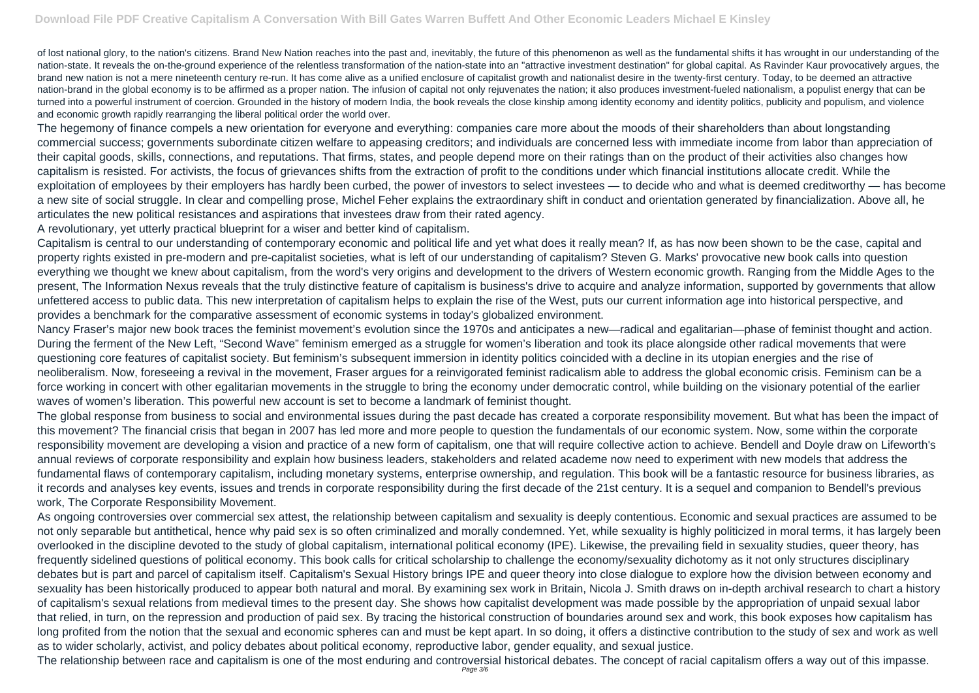of lost national glory, to the nation's citizens. Brand New Nation reaches into the past and, inevitably, the future of this phenomenon as well as the fundamental shifts it has wrought in our understanding of the nation-state. It reveals the on-the-ground experience of the relentless transformation of the nation-state into an "attractive investment destination" for global capital. As Ravinder Kaur provocatively argues, the brand new nation is not a mere nineteenth century re-run. It has come alive as a unified enclosure of capitalist growth and nationalist desire in the twenty-first century. Today, to be deemed an attractive nation-brand in the global economy is to be affirmed as a proper nation. The infusion of capital not only rejuvenates the nation; it also produces investment-fueled nationalism, a populist energy that can be turned into a powerful instrument of coercion. Grounded in the history of modern India, the book reveals the close kinship among identity economy and identity politics, publicity and populism, and violence and economic growth rapidly rearranging the liberal political order the world over.

The hegemony of finance compels a new orientation for everyone and everything: companies care more about the moods of their shareholders than about longstanding commercial success; governments subordinate citizen welfare to appeasing creditors; and individuals are concerned less with immediate income from labor than appreciation of their capital goods, skills, connections, and reputations. That firms, states, and people depend more on their ratings than on the product of their activities also changes how capitalism is resisted. For activists, the focus of grievances shifts from the extraction of profit to the conditions under which financial institutions allocate credit. While the exploitation of employees by their employers has hardly been curbed, the power of investors to select investees — to decide who and what is deemed creditworthy — has become a new site of social struggle. In clear and compelling prose, Michel Feher explains the extraordinary shift in conduct and orientation generated by financialization. Above all, he articulates the new political resistances and aspirations that investees draw from their rated agency.

A revolutionary, yet utterly practical blueprint for a wiser and better kind of capitalism.

Capitalism is central to our understanding of contemporary economic and political life and yet what does it really mean? If, as has now been shown to be the case, capital and property rights existed in pre-modern and pre-capitalist societies, what is left of our understanding of capitalism? Steven G. Marks' provocative new book calls into question everything we thought we knew about capitalism, from the word's very origins and development to the drivers of Western economic growth. Ranging from the Middle Ages to the present, The Information Nexus reveals that the truly distinctive feature of capitalism is business's drive to acquire and analyze information, supported by governments that allow unfettered access to public data. This new interpretation of capitalism helps to explain the rise of the West, puts our current information age into historical perspective, and provides a benchmark for the comparative assessment of economic systems in today's globalized environment.

Nancy Fraser's major new book traces the feminist movement's evolution since the 1970s and anticipates a new—radical and egalitarian—phase of feminist thought and action. During the ferment of the New Left, "Second Wave" feminism emerged as a struggle for women's liberation and took its place alongside other radical movements that were questioning core features of capitalist society. But feminism's subsequent immersion in identity politics coincided with a decline in its utopian energies and the rise of neoliberalism. Now, foreseeing a revival in the movement, Fraser argues for a reinvigorated feminist radicalism able to address the global economic crisis. Feminism can be a force working in concert with other egalitarian movements in the struggle to bring the economy under democratic control, while building on the visionary potential of the earlier waves of women's liberation. This powerful new account is set to become a landmark of feminist thought.

The global response from business to social and environmental issues during the past decade has created a corporate responsibility movement. But what has been the impact of this movement? The financial crisis that began in 2007 has led more and more people to question the fundamentals of our economic system. Now, some within the corporate responsibility movement are developing a vision and practice of a new form of capitalism, one that will require collective action to achieve. Bendell and Doyle draw on Lifeworth's annual reviews of corporate responsibility and explain how business leaders, stakeholders and related academe now need to experiment with new models that address the fundamental flaws of contemporary capitalism, including monetary systems, enterprise ownership, and regulation. This book will be a fantastic resource for business libraries, as it records and analyses key events, issues and trends in corporate responsibility during the first decade of the 21st century. It is a sequel and companion to Bendell's previous work, The Corporate Responsibility Movement.

As ongoing controversies over commercial sex attest, the relationship between capitalism and sexuality is deeply contentious. Economic and sexual practices are assumed to be not only separable but antithetical, hence why paid sex is so often criminalized and morally condemned. Yet, while sexuality is highly politicized in moral terms, it has largely been overlooked in the discipline devoted to the study of global capitalism, international political economy (IPE). Likewise, the prevailing field in sexuality studies, queer theory, has frequently sidelined questions of political economy. This book calls for critical scholarship to challenge the economy/sexuality dichotomy as it not only structures disciplinary debates but is part and parcel of capitalism itself. Capitalism's Sexual History brings IPE and queer theory into close dialogue to explore how the division between economy and sexuality has been historically produced to appear both natural and moral. By examining sex work in Britain, Nicola J. Smith draws on in-depth archival research to chart a history of capitalism's sexual relations from medieval times to the present day. She shows how capitalist development was made possible by the appropriation of unpaid sexual labor that relied, in turn, on the repression and production of paid sex. By tracing the historical construction of boundaries around sex and work, this book exposes how capitalism has long profited from the notion that the sexual and economic spheres can and must be kept apart. In so doing, it offers a distinctive contribution to the study of sex and work as well as to wider scholarly, activist, and policy debates about political economy, reproductive labor, gender equality, and sexual justice. The relationship between race and capitalism is one of the most enduring and controversial historical debates. The concept of racial capitalism offers a way out of this impasse. Page 3/6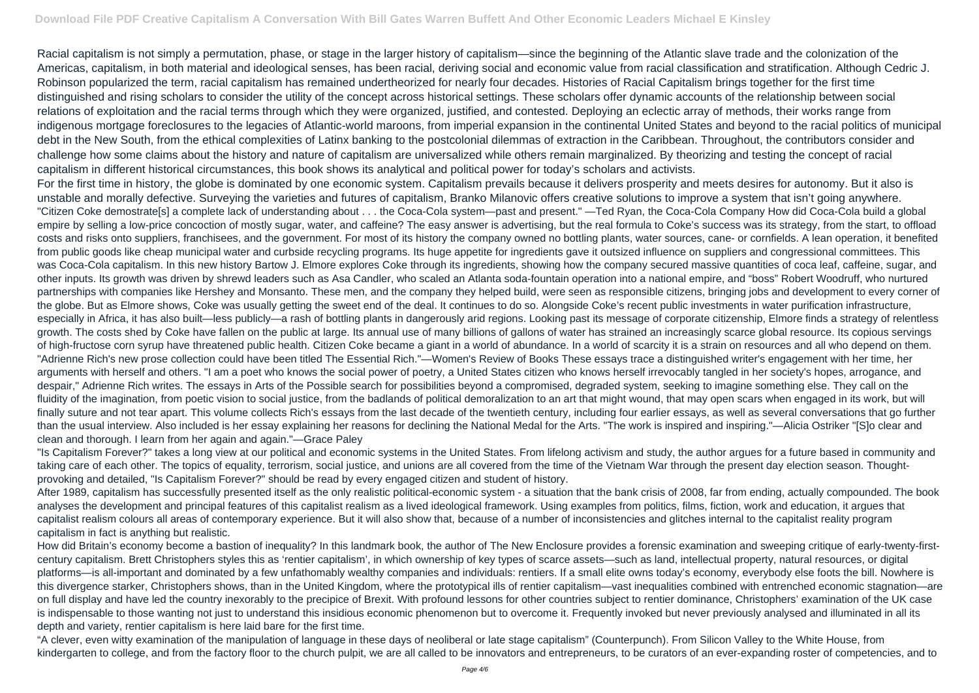Racial capitalism is not simply a permutation, phase, or stage in the larger history of capitalism—since the beginning of the Atlantic slave trade and the colonization of the Americas, capitalism, in both material and ideological senses, has been racial, deriving social and economic value from racial classification and stratification. Although Cedric J. Robinson popularized the term, racial capitalism has remained undertheorized for nearly four decades. Histories of Racial Capitalism brings together for the first time distinguished and rising scholars to consider the utility of the concept across historical settings. These scholars offer dynamic accounts of the relationship between social relations of exploitation and the racial terms through which they were organized, justified, and contested. Deploying an eclectic array of methods, their works range from indigenous mortgage foreclosures to the legacies of Atlantic-world maroons, from imperial expansion in the continental United States and beyond to the racial politics of municipal debt in the New South, from the ethical complexities of Latinx banking to the postcolonial dilemmas of extraction in the Caribbean. Throughout, the contributors consider and challenge how some claims about the history and nature of capitalism are universalized while others remain marginalized. By theorizing and testing the concept of racial capitalism in different historical circumstances, this book shows its analytical and political power for today's scholars and activists.

For the first time in history, the globe is dominated by one economic system. Capitalism prevails because it delivers prosperity and meets desires for autonomy. But it also is unstable and morally defective. Surveying the varieties and futures of capitalism, Branko Milanovic offers creative solutions to improve a system that isn't going anywhere. "Citizen Coke demostrate[s] a complete lack of understanding about . . . the Coca-Cola system—past and present." —Ted Ryan, the Coca-Cola Company How did Coca-Cola build a global empire by selling a low-price concoction of mostly sugar, water, and caffeine? The easy answer is advertising, but the real formula to Coke's success was its strategy, from the start, to offload costs and risks onto suppliers, franchisees, and the government. For most of its history the company owned no bottling plants, water sources, cane- or cornfields. A lean operation, it benefited from public goods like cheap municipal water and curbside recycling programs. Its huge appetite for ingredients gave it outsized influence on suppliers and congressional committees. This was Coca-Cola capitalism. In this new history Bartow J. Elmore explores Coke through its ingredients, showing how the company secured massive quantities of coca leaf, caffeine, sugar, and other inputs. Its growth was driven by shrewd leaders such as Asa Candler, who scaled an Atlanta soda-fountain operation into a national empire, and "boss" Robert Woodruff, who nurtured partnerships with companies like Hershey and Monsanto. These men, and the company they helped build, were seen as responsible citizens, bringing jobs and development to every corner of the globe. But as Elmore shows, Coke was usually getting the sweet end of the deal. It continues to do so. Alongside Coke's recent public investments in water purification infrastructure, especially in Africa, it has also built—less publicly—a rash of bottling plants in dangerously arid regions. Looking past its message of corporate citizenship, Elmore finds a strategy of relentless growth. The costs shed by Coke have fallen on the public at large. Its annual use of many billions of gallons of water has strained an increasingly scarce global resource. Its copious servings of high-fructose corn syrup have threatened public health. Citizen Coke became a giant in a world of abundance. In a world of scarcity it is a strain on resources and all who depend on them. "Adrienne Rich's new prose collection could have been titled The Essential Rich."—Women's Review of Books These essays trace a distinguished writer's engagement with her time, her arguments with herself and others. "I am a poet who knows the social power of poetry, a United States citizen who knows herself irrevocably tangled in her society's hopes, arrogance, and despair," Adrienne Rich writes. The essays in Arts of the Possible search for possibilities beyond a compromised, degraded system, seeking to imagine something else. They call on the fluidity of the imagination, from poetic vision to social justice, from the badlands of political demoralization to an art that might wound, that may open scars when engaged in its work, but will finally suture and not tear apart. This volume collects Rich's essays from the last decade of the twentieth century, including four earlier essays, as well as several conversations that go further than the usual interview. Also included is her essay explaining her reasons for declining the National Medal for the Arts. "The work is inspired and inspiring."—Alicia Ostriker "[S]o clear and clean and thorough. I learn from her again and again."—Grace Paley

"Is Capitalism Forever?" takes a long view at our political and economic systems in the United States. From lifelong activism and study, the author argues for a future based in community and taking care of each other. The topics of equality, terrorism, social justice, and unions are all covered from the time of the Vietnam War through the present day election season. Thoughtprovoking and detailed, "Is Capitalism Forever?" should be read by every engaged citizen and student of history.

After 1989, capitalism has successfully presented itself as the only realistic political-economic system - a situation that the bank crisis of 2008, far from ending, actually compounded. The book analyses the development and principal features of this capitalist realism as a lived ideological framework. Using examples from politics, films, fiction, work and education, it argues that capitalist realism colours all areas of contemporary experience. But it will also show that, because of a number of inconsistencies and glitches internal to the capitalist reality program capitalism in fact is anything but realistic.

How did Britain's economy become a bastion of inequality? In this landmark book, the author of The New Enclosure provides a forensic examination and sweeping critique of early-twenty-firstcentury capitalism. Brett Christophers styles this as 'rentier capitalism', in which ownership of key types of scarce assets—such as land, intellectual property, natural resources, or digital platforms—is all-important and dominated by a few unfathomably wealthy companies and individuals: rentiers. If a small elite owns today's economy, everybody else foots the bill. Nowhere is this divergence starker, Christophers shows, than in the United Kingdom, where the prototypical ills of rentier capitalism—vast inequalities combined with entrenched economic stagnation—are on full display and have led the country inexorably to the precipice of Brexit. With profound lessons for other countries subject to rentier dominance, Christophers' examination of the UK case is indispensable to those wanting not just to understand this insidious economic phenomenon but to overcome it. Frequently invoked but never previously analysed and illuminated in all its depth and variety, rentier capitalism is here laid bare for the first time.

"A clever, even witty examination of the manipulation of language in these days of neoliberal or late stage capitalism" (Counterpunch). From Silicon Valley to the White House, from kindergarten to college, and from the factory floor to the church pulpit, we are all called to be innovators and entrepreneurs, to be curators of an ever-expanding roster of competencies, and to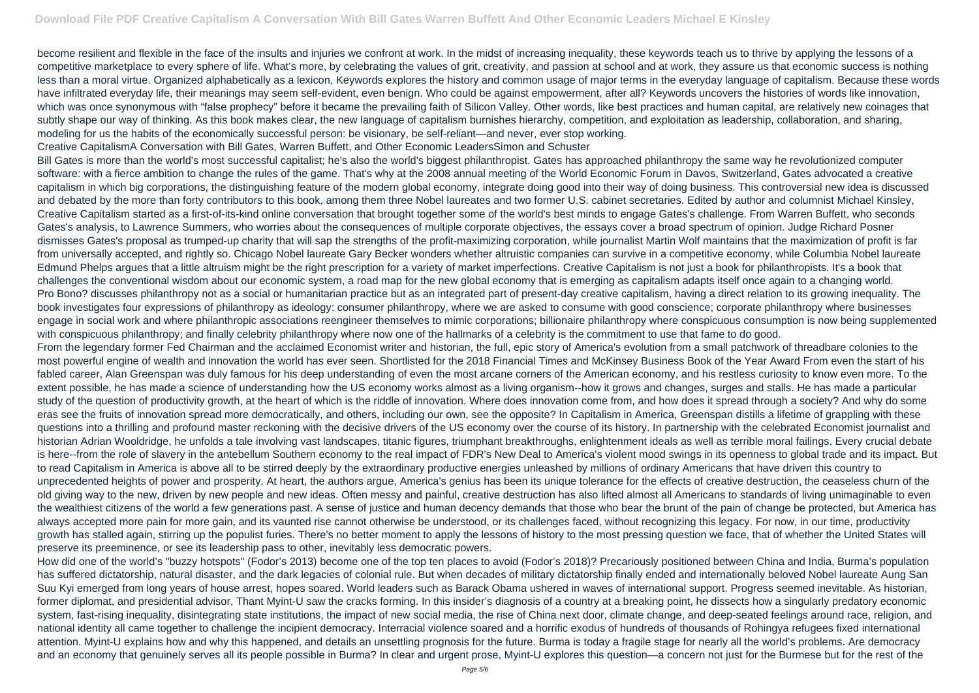become resilient and flexible in the face of the insults and injuries we confront at work. In the midst of increasing inequality, these keywords teach us to thrive by applying the lessons of a competitive marketplace to every sphere of life. What's more, by celebrating the values of grit, creativity, and passion at school and at work, they assure us that economic success is nothing less than a moral virtue. Organized alphabetically as a lexicon, Keywords explores the history and common usage of major terms in the everyday language of capitalism. Because these words have infiltrated everyday life, their meanings may seem self-evident, even benign. Who could be against empowerment, after all? Keywords uncovers the histories of words like innovation, which was once synonymous with "false prophecy" before it became the prevailing faith of Silicon Valley. Other words, like best practices and human capital, are relatively new coinages that subtly shape our way of thinking. As this book makes clear, the new language of capitalism burnishes hierarchy, competition, and exploitation as leadership, collaboration, and sharing, modeling for us the habits of the economically successful person: be visionary, be self-reliant—and never, ever stop working.

Creative CapitalismA Conversation with Bill Gates, Warren Buffett, and Other Economic LeadersSimon and Schuster

Bill Gates is more than the world's most successful capitalist; he's also the world's biggest philanthropist. Gates has approached philanthropy the same way he revolutionized computer software: with a fierce ambition to change the rules of the game. That's why at the 2008 annual meeting of the World Economic Forum in Davos, Switzerland, Gates advocated a creative capitalism in which big corporations, the distinguishing feature of the modern global economy, integrate doing good into their way of doing business. This controversial new idea is discussed and debated by the more than forty contributors to this book, among them three Nobel laureates and two former U.S. cabinet secretaries. Edited by author and columnist Michael Kinsley, Creative Capitalism started as a first-of-its-kind online conversation that brought together some of the world's best minds to engage Gates's challenge. From Warren Buffett, who seconds Gates's analysis, to Lawrence Summers, who worries about the consequences of multiple corporate objectives, the essays cover a broad spectrum of opinion. Judge Richard Posner dismisses Gates's proposal as trumped-up charity that will sap the strengths of the profit-maximizing corporation, while journalist Martin Wolf maintains that the maximization of profit is far from universally accepted, and rightly so. Chicago Nobel laureate Gary Becker wonders whether altruistic companies can survive in a competitive economy, while Columbia Nobel laureate Edmund Phelps argues that a little altruism might be the right prescription for a variety of market imperfections. Creative Capitalism is not just a book for philanthropists. It's a book that challenges the conventional wisdom about our economic system, a road map for the new global economy that is emerging as capitalism adapts itself once again to a changing world. Pro Bono? discusses philanthropy not as a social or humanitarian practice but as an integrated part of present-day creative capitalism, having a direct relation to its growing inequality. The book investigates four expressions of philanthropy as ideology: consumer philanthropy, where we are asked to consume with good conscience; corporate philanthropy where businesses engage in social work and where philanthropic associations reengineer themselves to mimic corporations; billionaire philanthropy where conspicuous consumption is now being supplemented with conspicuous philanthropy; and finally celebrity philanthropy where now one of the hallmarks of a celebrity is the commitment to use that fame to do good. From the legendary former Fed Chairman and the acclaimed Economist writer and historian, the full, epic story of America's evolution from a small patchwork of threadbare colonies to the most powerful engine of wealth and innovation the world has ever seen. Shortlisted for the 2018 Financial Times and McKinsey Business Book of the Year Award From even the start of his fabled career, Alan Greenspan was duly famous for his deep understanding of even the most arcane corners of the American economy, and his restless curiosity to know even more. To the extent possible, he has made a science of understanding how the US economy works almost as a living organism--how it grows and changes, surges and stalls. He has made a particular study of the question of productivity growth, at the heart of which is the riddle of innovation. Where does innovation come from, and how does it spread through a society? And why do some eras see the fruits of innovation spread more democratically, and others, including our own, see the opposite? In Capitalism in America, Greenspan distills a lifetime of grappling with these questions into a thrilling and profound master reckoning with the decisive drivers of the US economy over the course of its history. In partnership with the celebrated Economist journalist and historian Adrian Wooldridge, he unfolds a tale involving vast landscapes, titanic figures, triumphant breakthroughs, enlightenment ideals as well as terrible moral failings. Every crucial debate is here--from the role of slavery in the antebellum Southern economy to the real impact of FDR's New Deal to America's violent mood swings in its openness to global trade and its impact. But to read Capitalism in America is above all to be stirred deeply by the extraordinary productive energies unleashed by millions of ordinary Americans that have driven this country to unprecedented heights of power and prosperity. At heart, the authors argue, America's genius has been its unique tolerance for the effects of creative destruction, the ceaseless churn of the old giving way to the new, driven by new people and new ideas. Often messy and painful, creative destruction has also lifted almost all Americans to standards of living unimaginable to even the wealthiest citizens of the world a few generations past. A sense of justice and human decency demands that those who bear the brunt of the pain of change be protected, but America has always accepted more pain for more gain, and its vaunted rise cannot otherwise be understood, or its challenges faced, without recognizing this legacy. For now, in our time, productivity growth has stalled again, stirring up the populist furies. There's no better moment to apply the lessons of history to the most pressing question we face, that of whether the United States will preserve its preeminence, or see its leadership pass to other, inevitably less democratic powers.

How did one of the world's "buzzy hotspots" (Fodor's 2013) become one of the top ten places to avoid (Fodor's 2018)? Precariously positioned between China and India, Burma's population has suffered dictatorship, natural disaster, and the dark legacies of colonial rule. But when decades of military dictatorship finally ended and internationally beloved Nobel laureate Aung San Suu Kyi emerged from long years of house arrest, hopes soared. World leaders such as Barack Obama ushered in waves of international support. Progress seemed inevitable. As historian, former diplomat, and presidential advisor, Thant Myint-U saw the cracks forming. In this insider's diagnosis of a country at a breaking point, he dissects how a singularly predatory economic system, fast-rising inequality, disintegrating state institutions, the impact of new social media, the rise of China next door, climate change, and deep-seated feelings around race, religion, and national identity all came together to challenge the incipient democracy. Interracial violence soared and a horrific exodus of hundreds of thousands of Rohingya refugees fixed international attention. Myint-U explains how and why this happened, and details an unsettling prognosis for the future. Burma is today a fragile stage for nearly all the world's problems. Are democracy and an economy that genuinely serves all its people possible in Burma? In clear and urgent prose, Myint-U explores this question—a concern not just for the Burmese but for the rest of the